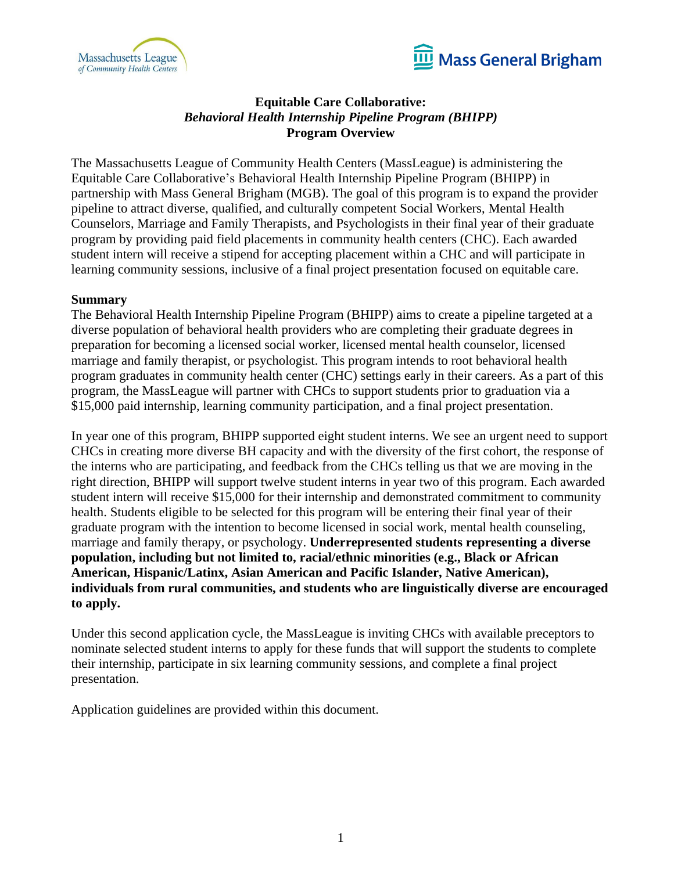



# **Equitable Care Collaborative:** *Behavioral Health Internship Pipeline Program (BHIPP)* **Program Overview**

The Massachusetts League of Community Health Centers (MassLeague) is administering the Equitable Care Collaborative's Behavioral Health Internship Pipeline Program (BHIPP) in partnership with Mass General Brigham (MGB). The goal of this program is to expand the provider pipeline to attract diverse, qualified, and culturally competent Social Workers, Mental Health Counselors, Marriage and Family Therapists, and Psychologists in their final year of their graduate program by providing paid field placements in community health centers (CHC). Each awarded student intern will receive a stipend for accepting placement within a CHC and will participate in learning community sessions, inclusive of a final project presentation focused on equitable care.

### **Summary**

The Behavioral Health Internship Pipeline Program (BHIPP) aims to create a pipeline targeted at a diverse population of behavioral health providers who are completing their graduate degrees in preparation for becoming a licensed social worker, licensed mental health counselor, licensed marriage and family therapist, or psychologist. This program intends to root behavioral health program graduates in community health center (CHC) settings early in their careers. As a part of this program, the MassLeague will partner with CHCs to support students prior to graduation via a \$15,000 paid internship, learning community participation, and a final project presentation.

In year one of this program, BHIPP supported eight student interns. We see an urgent need to support CHCs in creating more diverse BH capacity and with the diversity of the first cohort, the response of the interns who are participating, and feedback from the CHCs telling us that we are moving in the right direction, BHIPP will support twelve student interns in year two of this program. Each awarded student intern will receive \$15,000 for their internship and demonstrated commitment to community health. Students eligible to be selected for this program will be entering their final year of their graduate program with the intention to become licensed in social work, mental health counseling, marriage and family therapy, or psychology. **Underrepresented students representing a diverse population, including but not limited to, racial/ethnic minorities (e.g., Black or African American, Hispanic/Latinx, Asian American and Pacific Islander, Native American), individuals from rural communities, and students who are linguistically diverse are encouraged to apply.**

Under this second application cycle, the MassLeague is inviting CHCs with available preceptors to nominate selected student interns to apply for these funds that will support the students to complete their internship, participate in six learning community sessions, and complete a final project presentation.

Application guidelines are provided within this document.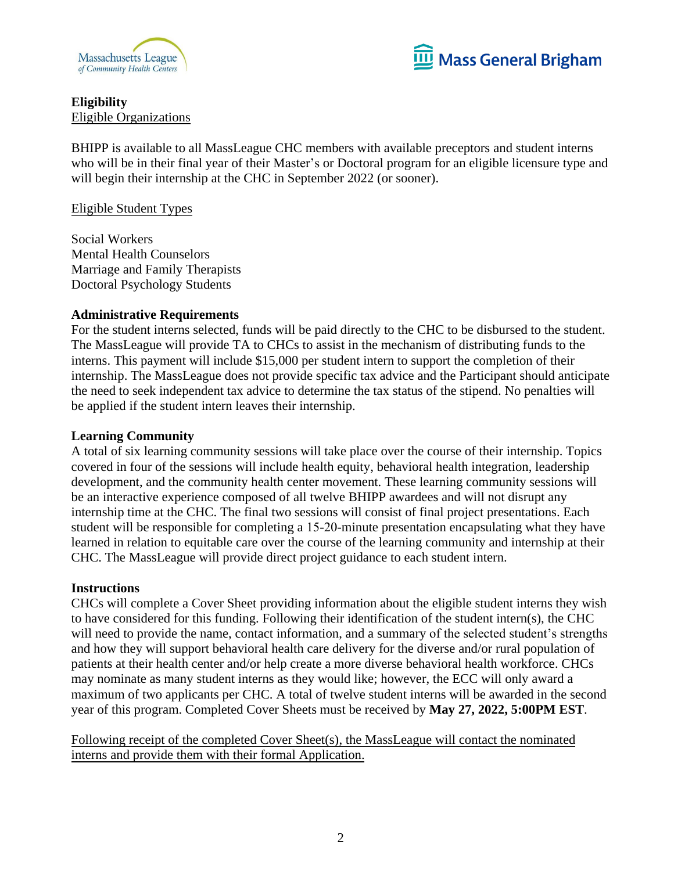



# **Eligibility** Eligible Organizations

BHIPP is available to all MassLeague CHC members with available preceptors and student interns who will be in their final year of their Master's or Doctoral program for an eligible licensure type and will begin their internship at the CHC in September 2022 (or sooner).

## Eligible Student Types

Social Workers Mental Health Counselors Marriage and Family Therapists Doctoral Psychology Students

### **Administrative Requirements**

For the student interns selected, funds will be paid directly to the CHC to be disbursed to the student. The MassLeague will provide TA to CHCs to assist in the mechanism of distributing funds to the interns. This payment will include \$15,000 per student intern to support the completion of their internship. The MassLeague does not provide specific tax advice and the Participant should anticipate the need to seek independent tax advice to determine the tax status of the stipend. No penalties will be applied if the student intern leaves their internship.

#### **Learning Community**

A total of six learning community sessions will take place over the course of their internship. Topics covered in four of the sessions will include health equity, behavioral health integration, leadership development, and the community health center movement. These learning community sessions will be an interactive experience composed of all twelve BHIPP awardees and will not disrupt any internship time at the CHC. The final two sessions will consist of final project presentations. Each student will be responsible for completing a 15-20-minute presentation encapsulating what they have learned in relation to equitable care over the course of the learning community and internship at their CHC. The MassLeague will provide direct project guidance to each student intern.

#### **Instructions**

CHCs will complete a Cover Sheet providing information about the eligible student interns they wish to have considered for this funding. Following their identification of the student intern(s), the CHC will need to provide the name, contact information, and a summary of the selected student's strengths and how they will support behavioral health care delivery for the diverse and/or rural population of patients at their health center and/or help create a more diverse behavioral health workforce. CHCs may nominate as many student interns as they would like; however, the ECC will only award a maximum of two applicants per CHC. A total of twelve student interns will be awarded in the second year of this program. Completed Cover Sheets must be received by **May 27, 2022, 5:00PM EST**.

Following receipt of the completed Cover Sheet(s), the MassLeague will contact the nominated interns and provide them with their formal Application.